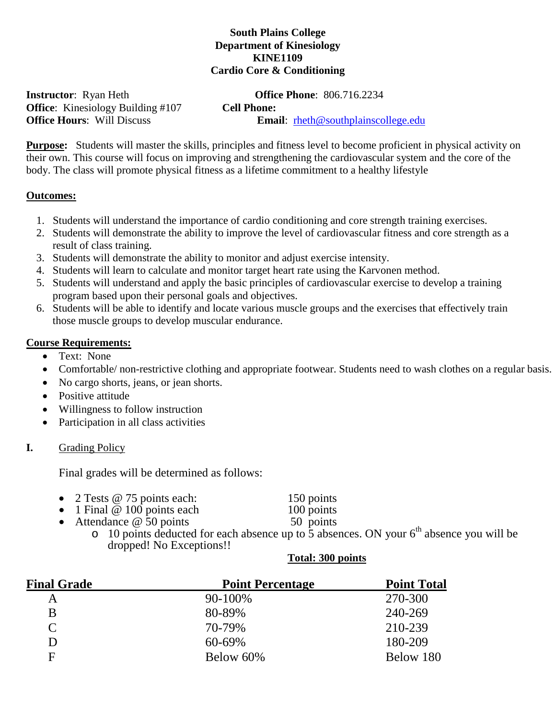## **South Plains College Department of Kinesiology KINE1109 Cardio Core & Conditioning**

**Office:** Kinesiology Building #107 **Cell Phone: Office Hours:** Will Discuss **CEL** 

**Instructor**: Ryan Heth **Office Phone**: 806.716.2234 **Email**: rheth@southplainscollege.edu

**Purpose:** Students will master the skills, principles and fitness level to become proficient in physical activity on their own. This course will focus on improving and strengthening the cardiovascular system and the core of the body. The class will promote physical fitness as a lifetime commitment to a healthy lifestyle

#### **Outcomes:**

- 1. Students will understand the importance of cardio conditioning and core strength training exercises.
- 2. Students will demonstrate the ability to improve the level of cardiovascular fitness and core strength as a result of class training.
- 3. Students will demonstrate the ability to monitor and adjust exercise intensity.
- 4. Students will learn to calculate and monitor target heart rate using the Karvonen method.
- 5. Students will understand and apply the basic principles of cardiovascular exercise to develop a training program based upon their personal goals and objectives.
- 6. Students will be able to identify and locate various muscle groups and the exercises that effectively train those muscle groups to develop muscular endurance.

#### **Course Requirements:**

- Text: None
- Comfortable/ non-restrictive clothing and appropriate footwear. Students need to wash clothes on a regular basis.
- No cargo shorts, jeans, or jean shorts.
- Positive attitude
- Willingness to follow instruction
- Participation in all class activities

## **I.** Grading Policy

Final grades will be determined as follows:

- 2 Tests @ 75 points each: 150 points<br>
1 Final @ 100 points each 100 points
- 1 Final @ 100 points each 100 points<br>
Attendance @ 50 points 50 points
- Attendance  $@$  50 points

 $\frac{10}{2}$  b  $\frac{10}{2}$  points deducted for each absence up to 5 absences. ON your 6<sup>th</sup> absence you will be dropped! No Exceptions!!

#### **Total: 300 points**

| <b>Final Grade</b> | <b>Point Percentage</b> | <b>Point Total</b> |
|--------------------|-------------------------|--------------------|
| Α                  | 90-100%                 | 270-300            |
| B                  | 80-89%                  | 240-269            |
| $\mathcal{C}$      | 70-79%                  | 210-239            |
| D                  | 60-69%                  | 180-209            |
| F                  | Below 60%               | Below 180          |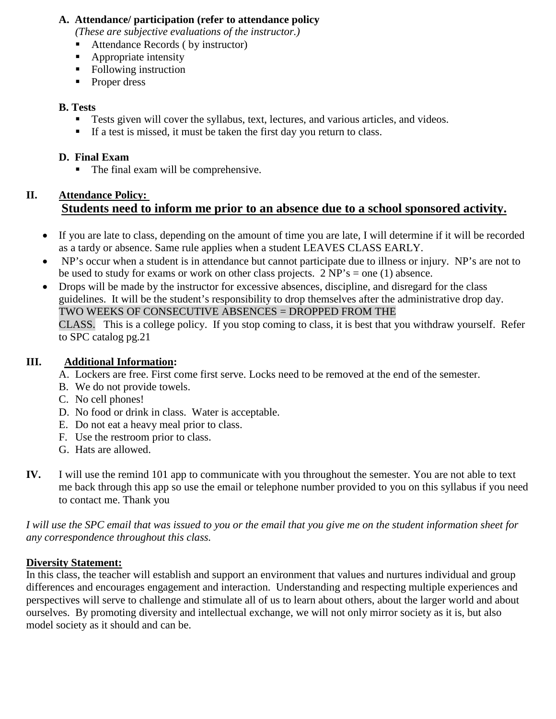## **A. Attendance/ participation (refer to attendance policy**

*(These are subjective evaluations of the instructor.)*

- Attendance Records ( by instructor)
- Appropriate intensity
- Following instruction
- Proper dress

## **B. Tests**

- **Tests given will cover the syllabus, text, lectures, and various articles, and videos.**
- If a test is missed, it must be taken the first day you return to class.

# **D. Final Exam**

• The final exam will be comprehensive.

# **II. Attendance Policy: Students need to inform me prior to an absence due to a school sponsored activity.**

- If you are late to class, depending on the amount of time you are late, I will determine if it will be recorded as a tardy or absence. Same rule applies when a student LEAVES CLASS EARLY.
- NP's occur when a student is in attendance but cannot participate due to illness or injury. NP's are not to be used to study for exams or work on other class projects.  $2 NP's = one (1)$  absence.
- Drops will be made by the instructor for excessive absences, discipline, and disregard for the class guidelines. It will be the student's responsibility to drop themselves after the administrative drop day. TWO WEEKS OF CONSECUTIVE ABSENCES = DROPPED FROM THE

CLASS. This is a college policy. If you stop coming to class, it is best that you withdraw yourself. Refer to SPC catalog pg.21

## **III. Additional Information:**

- A. Lockers are free. First come first serve. Locks need to be removed at the end of the semester.
- B. We do not provide towels.
- C. No cell phones!
- D. No food or drink in class. Water is acceptable.
- E. Do not eat a heavy meal prior to class.
- F. Use the restroom prior to class.
- G. Hats are allowed.
- **IV.** I will use the remind 101 app to communicate with you throughout the semester. You are not able to text me back through this app so use the email or telephone number provided to you on this syllabus if you need to contact me. Thank you

*I will use the SPC email that was issued to you or the email that you give me on the student information sheet for any correspondence throughout this class.* 

## **Diversity Statement:**

In this class, the teacher will establish and support an environment that values and nurtures individual and group differences and encourages engagement and interaction. Understanding and respecting multiple experiences and perspectives will serve to challenge and stimulate all of us to learn about others, about the larger world and about ourselves. By promoting diversity and intellectual exchange, we will not only mirror society as it is, but also model society as it should and can be.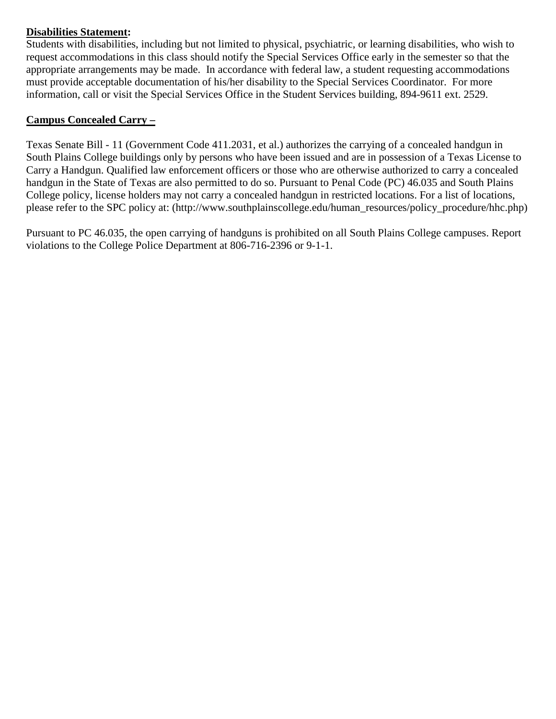## **Disabilities Statement:**

Students with disabilities, including but not limited to physical, psychiatric, or learning disabilities, who wish to request accommodations in this class should notify the Special Services Office early in the semester so that the appropriate arrangements may be made.In accordance with federal law, a student requesting accommodations must provide acceptable documentation of his/her disability to the Special Services Coordinator. For more information, call or visit the Special Services Office in the Student Services building, 894-9611 ext. 2529.

## **Campus Concealed Carry –**

Texas Senate Bill - 11 (Government Code 411.2031, et al.) authorizes the carrying of a concealed handgun in South Plains College buildings only by persons who have been issued and are in possession of a Texas License to Carry a Handgun. Qualified law enforcement officers or those who are otherwise authorized to carry a concealed handgun in the State of Texas are also permitted to do so. Pursuant to Penal Code (PC) 46.035 and South Plains College policy, license holders may not carry a concealed handgun in restricted locations. For a list of locations, please refer to the SPC policy at: (http://www.southplainscollege.edu/human\_resources/policy\_procedure/hhc.php)

Pursuant to PC 46.035, the open carrying of handguns is prohibited on all South Plains College campuses. Report violations to the College Police Department at 806-716-2396 or 9-1-1.